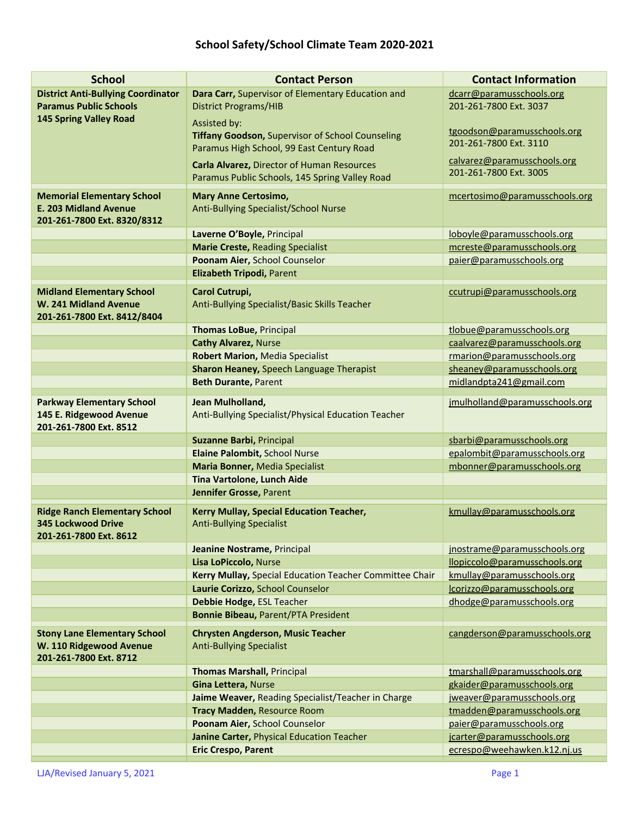## **School Safety/School Climate Team 2020-2021**

| <b>School</b>                                     | <b>Contact Person</b>                                                                               | <b>Contact Information</b>                                |
|---------------------------------------------------|-----------------------------------------------------------------------------------------------------|-----------------------------------------------------------|
| <b>District Anti-Bullying Coordinator</b>         | Dara Carr, Supervisor of Elementary Education and                                                   | dcarr@paramusschools.org                                  |
| <b>Paramus Public Schools</b>                     | <b>District Programs/HIB</b>                                                                        | 201-261-7800 Ext. 3037                                    |
| <b>145 Spring Valley Road</b>                     | Assisted by:                                                                                        |                                                           |
|                                                   | <b>Tiffany Goodson, Supervisor of School Counseling</b>                                             | tgoodson@paramusschools.org<br>201-261-7800 Ext. 3110     |
|                                                   | Paramus High School, 99 East Century Road                                                           | calvarez@paramusschools.org                               |
|                                                   | <b>Carla Alvarez, Director of Human Resources</b><br>Paramus Public Schools, 145 Spring Valley Road | 201-261-7800 Ext. 3005                                    |
| <b>Memorial Elementary School</b>                 | <b>Mary Anne Certosimo,</b>                                                                         | mcertosimo@paramusschools.org                             |
| <b>E. 203 Midland Avenue</b>                      | Anti-Bullying Specialist/School Nurse                                                               |                                                           |
| 201-261-7800 Ext. 8320/8312                       |                                                                                                     |                                                           |
|                                                   | Laverne O'Boyle, Principal                                                                          | loboyle@paramusschools.org                                |
|                                                   | <b>Marie Creste, Reading Specialist</b>                                                             | mcreste@paramusschools.org                                |
|                                                   | Poonam Aier, School Counselor                                                                       | paier@paramusschools.org                                  |
|                                                   | Elizabeth Tripodi, Parent                                                                           |                                                           |
| <b>Midland Elementary School</b>                  | Carol Cutrupi,                                                                                      | ccutrupi@paramusschools.org                               |
| W. 241 Midland Avenue                             | Anti-Bullying Specialist/Basic Skills Teacher                                                       |                                                           |
| 201-261-7800 Ext. 8412/8404                       |                                                                                                     |                                                           |
|                                                   | <b>Thomas LoBue, Principal</b>                                                                      | tlobue@paramusschools.org                                 |
|                                                   | <b>Cathy Alvarez, Nurse</b>                                                                         | caalvarez@paramusschools.org                              |
|                                                   | <b>Robert Marion, Media Specialist</b>                                                              | rmarion@paramusschools.org                                |
|                                                   | Sharon Heaney, Speech Language Therapist                                                            | sheaney@paramusschools.org                                |
|                                                   | <b>Beth Durante, Parent</b>                                                                         | midlandpta241@gmail.com                                   |
| <b>Parkway Elementary School</b>                  | Jean Mulholland,                                                                                    | jmulholland@paramusschools.org                            |
| 145 E. Ridgewood Avenue                           | Anti-Bullying Specialist/Physical Education Teacher                                                 |                                                           |
| 201-261-7800 Ext. 8512                            |                                                                                                     |                                                           |
|                                                   | Suzanne Barbi, Principal                                                                            | sbarbi@paramusschools.org                                 |
|                                                   | Elaine Palombit, School Nurse                                                                       | epalombit@paramusschools.org                              |
|                                                   | <b>Maria Bonner, Media Specialist</b>                                                               | mbonner@paramusschools.org                                |
|                                                   | <b>Tina Vartolone, Lunch Aide</b>                                                                   |                                                           |
|                                                   | Jennifer Grosse, Parent                                                                             |                                                           |
| <b>Ridge Ranch Elementary School</b>              | Kerry Mullay, Special Education Teacher,                                                            | kmullay@paramusschools.org                                |
| <b>345 Lockwood Drive</b>                         | <b>Anti-Bullying Specialist</b>                                                                     |                                                           |
| 201-261-7800 Ext. 8612                            |                                                                                                     |                                                           |
|                                                   | Jeanine Nostrame, Principal                                                                         | jnostrame@paramusschools.org                              |
|                                                   | Lisa LoPiccolo, Nurse                                                                               | llopiccolo@paramusschools.org                             |
|                                                   | Kerry Mullay, Special Education Teacher Committee Chair<br>Laurie Corizzo, School Counselor         | kmullay@paramusschools.org<br>lcorizzo@paramusschools.org |
|                                                   | Debbie Hodge, ESL Teacher                                                                           | dhodge@paramusschools.org                                 |
|                                                   | <b>Bonnie Bibeau, Parent/PTA President</b>                                                          |                                                           |
|                                                   |                                                                                                     |                                                           |
| <b>Stony Lane Elementary School</b>               | <b>Chrysten Angderson, Music Teacher</b>                                                            | cangderson@paramusschools.org                             |
| W. 110 Ridgewood Avenue<br>201-261-7800 Ext. 8712 | <b>Anti-Bullying Specialist</b>                                                                     |                                                           |
|                                                   | <b>Thomas Marshall, Principal</b>                                                                   | tmarshall@paramusschools.org                              |
|                                                   | Gina Lettera, Nurse                                                                                 | gkaider@paramusschools.org                                |
|                                                   | Jaime Weaver, Reading Specialist/Teacher in Charge                                                  | jweaver@paramusschools.org                                |
|                                                   | <b>Tracy Madden, Resource Room</b>                                                                  | tmadden@paramusschools.org                                |
|                                                   | Poonam Aier, School Counselor                                                                       | paier@paramusschools.org                                  |
|                                                   | Janine Carter, Physical Education Teacher                                                           | jcarter@paramusschools.org                                |
|                                                   | <b>Eric Crespo, Parent</b>                                                                          | ecrespo@weehawken.k12.nj.us                               |
|                                                   |                                                                                                     |                                                           |